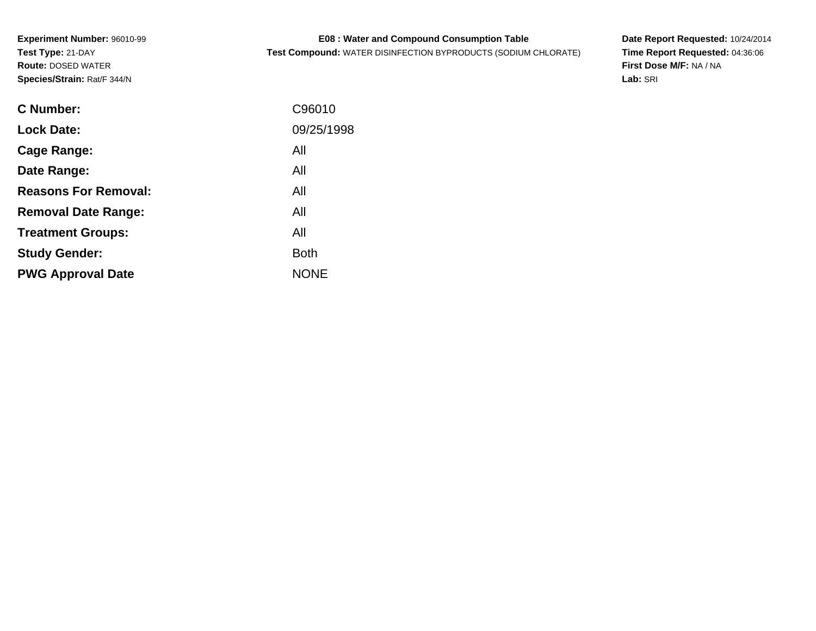| <b>E08: Water and Compound Consumption Table</b> |  |
|--------------------------------------------------|--|
|--------------------------------------------------|--|

**Test Compound:** WATER DISINFECTION BYPRODUCTS (SODIUM CHLORATE)

**Date Report Requested:** 10/24/2014 **Time Report Requested:** 04:36:06**First Dose M/F:** NA / NA**Lab:** SRI

| <b>C</b> Number:            | C96010      |
|-----------------------------|-------------|
| <b>Lock Date:</b>           | 09/25/1998  |
| Cage Range:                 | All         |
| Date Range:                 | All         |
| <b>Reasons For Removal:</b> | All         |
| <b>Removal Date Range:</b>  | All         |
| <b>Treatment Groups:</b>    | All         |
| <b>Study Gender:</b>        | <b>Both</b> |
| <b>PWG Approval Date</b>    | <b>NONE</b> |
|                             |             |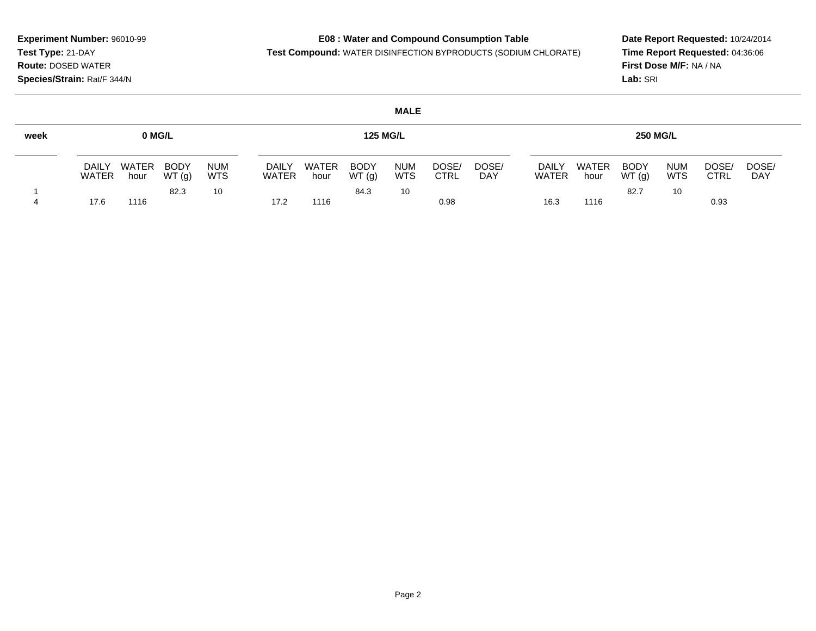## **E08 : Water and Compound Consumption Table**

**Test Compound:** WATER DISINFECTION BYPRODUCTS (SODIUM CHLORATE)

**Date Report Requested:** 10/24/2014 **Time Report Requested:** 04:36:06**First Dose M/F:** NA / NA**Lab:** SRI

| <b>MALE</b> |                       |               |                      |                          |                              |                      |                      |                          |                      |                     |                       |                      |                      |                          |                      |              |
|-------------|-----------------------|---------------|----------------------|--------------------------|------------------------------|----------------------|----------------------|--------------------------|----------------------|---------------------|-----------------------|----------------------|----------------------|--------------------------|----------------------|--------------|
| week        | 0 MG/L                |               |                      |                          |                              | <b>125 MG/L</b>      |                      |                          |                      | <b>250 MG/L</b>     |                       |                      |                      |                          |                      |              |
|             | <b>DAILY</b><br>WATER | WATER<br>hour | <b>BODY</b><br>WT(g) | <b>NUM</b><br><b>WTS</b> | <b>DAILY</b><br><b>WATER</b> | <b>WATER</b><br>hour | <b>BODY</b><br>WT(g) | <b>NUM</b><br><b>WTS</b> | DOSE/<br><b>CTRL</b> | DOSE/<br><b>DAY</b> | <b>DAILY</b><br>WATER | <b>WATER</b><br>hour | <b>BODY</b><br>WT(g) | <b>NUM</b><br><b>WTS</b> | DOSE/<br><b>CTRL</b> | DOSE/<br>DAY |
|             | 17.6                  | 1116          | 82.3                 | 10                       | 17.2                         | 1116                 | 84.3                 | 10                       | 0.98                 |                     | 16.3                  | 1116                 | 82.7                 | 10                       | 0.93                 |              |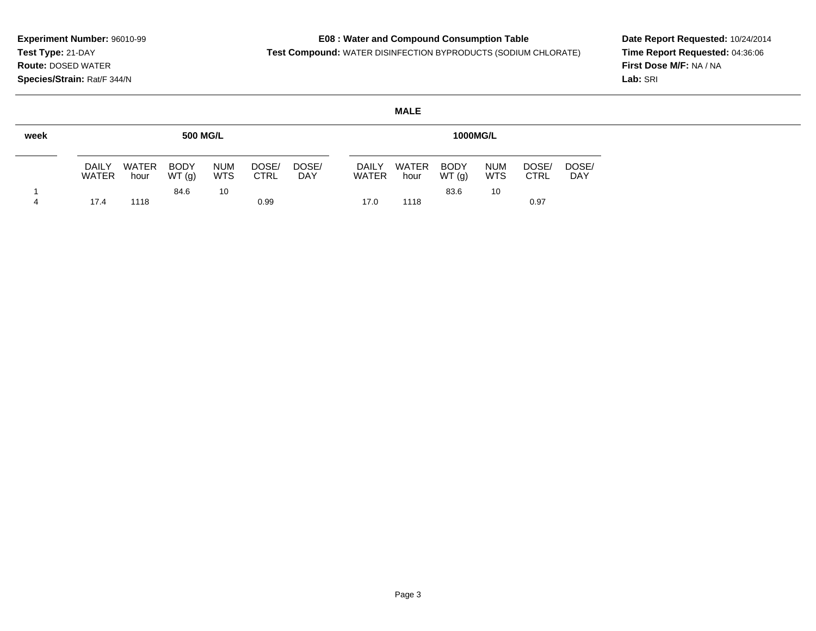$\sim$ 

## **E08 : Water and Compound Consumption Table**

**Test Compound:** WATER DISINFECTION BYPRODUCTS (SODIUM CHLORATE)

**Date Report Requested:** 10/24/2014 **Time Report Requested:** 04:36:06**First Dose M/F:** NA / NA**Lab:** SRI

|      | <b>MALE</b>                  |                      |                      |                          |                      |              |  |                              |                      |                      |                          |                      |                     |
|------|------------------------------|----------------------|----------------------|--------------------------|----------------------|--------------|--|------------------------------|----------------------|----------------------|--------------------------|----------------------|---------------------|
| week | <b>500 MG/L</b>              |                      |                      |                          |                      |              |  | <b>1000MG/L</b>              |                      |                      |                          |                      |                     |
|      | <b>DAILY</b><br><b>WATER</b> | <b>WATER</b><br>hour | <b>BODY</b><br>WT(g) | <b>NUM</b><br><b>WTS</b> | DOSE/<br><b>CTRL</b> | DOSE/<br>DAY |  | <b>DAILY</b><br><b>WATER</b> | <b>WATER</b><br>hour | <b>BODY</b><br>WT(g) | <b>NUM</b><br><b>WTS</b> | DOSE/<br><b>CTRL</b> | DOSE/<br><b>DAY</b> |
| 4    | 17.4                         | 1118                 | 84.6                 | 10                       | 0.99                 |              |  | 17.0                         | 1118                 | 83.6                 | 10                       | 0.97                 |                     |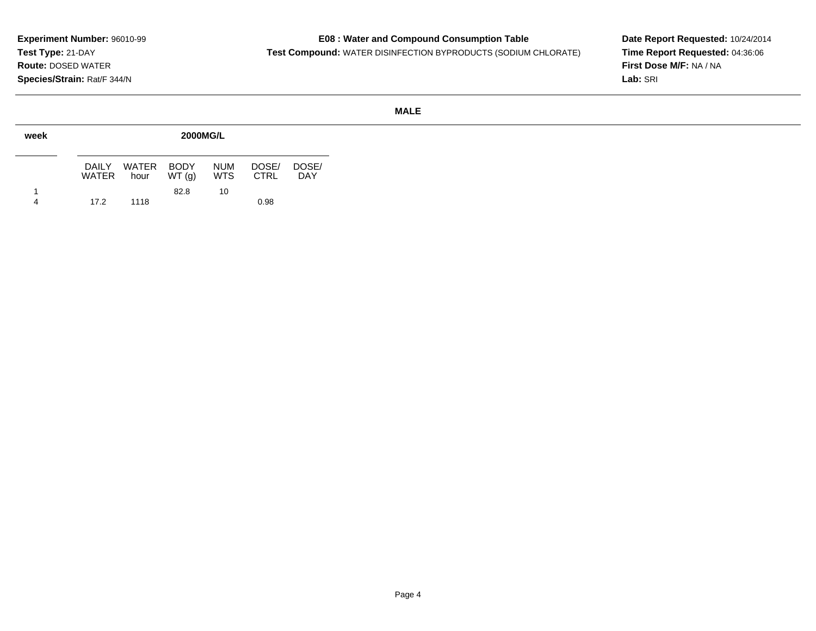### **E08 : Water and Compound Consumption Table**

**Test Compound:** WATER DISINFECTION BYPRODUCTS (SODIUM CHLORATE)

**Date Report Requested:** 10/24/2014 **Time Report Requested:** 04:36:06**First Dose M/F:** NA / NA**Lab:** SRI

### **MALE**

| week |                 | <b>2000MG/L</b>    |       |                   |                      |              |  |  |  |  |  |  |
|------|-----------------|--------------------|-------|-------------------|----------------------|--------------|--|--|--|--|--|--|
|      | DAILY.<br>WATER | WATER BODY<br>hour | WT(q) | <b>NUM</b><br>WTS | DOSE/<br><b>CTRL</b> | DOSE/<br>DAY |  |  |  |  |  |  |
| 1    |                 |                    | 82.8  | 10                |                      |              |  |  |  |  |  |  |
| 4    | 17.2            | 1118               |       |                   | 0.98                 |              |  |  |  |  |  |  |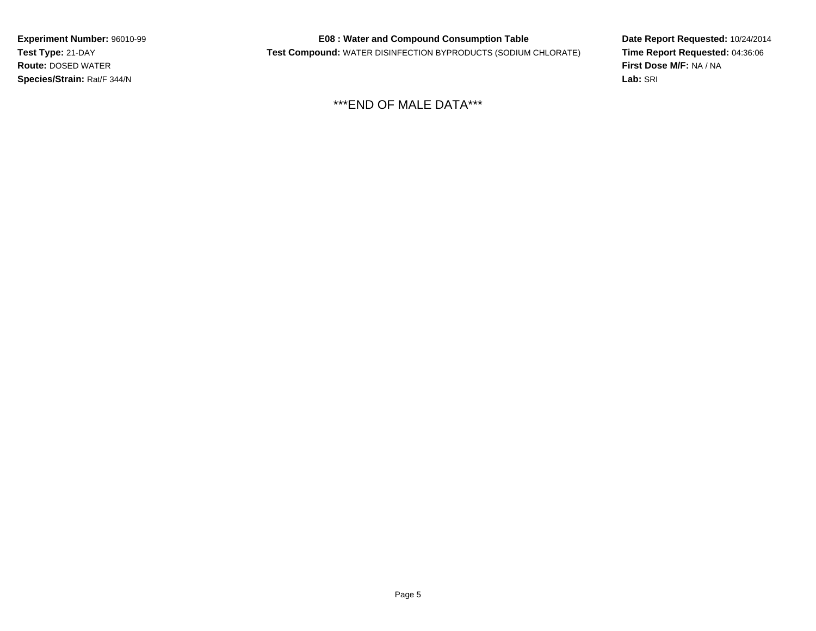**E08 : Water and Compound Consumption Table**

**Test Compound:** WATER DISINFECTION BYPRODUCTS (SODIUM CHLORATE)

**Date Report Requested:** 10/24/2014 **Time Report Requested:** 04:36:06**First Dose M/F:** NA / NA**Lab:** SRI

\*\*\*END OF MALE DATA\*\*\*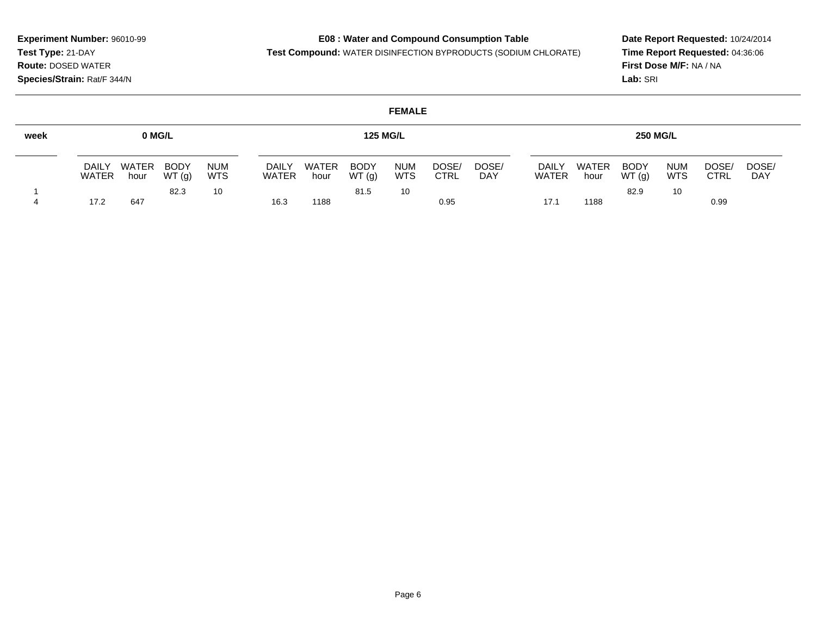### **E08 : Water and Compound Consumption Table**

**Test Compound:** WATER DISINFECTION BYPRODUCTS (SODIUM CHLORATE)

**Date Report Requested:** 10/24/2014 **Time Report Requested:** 04:36:06**First Dose M/F:** NA / NA**Lab:** SRI

### **FEMALEweek**1 4**0 MG/L**DAILY WATER WATER hourBODY WT (g)NUM WTS3 10 82.317.2 <sup>647</sup> **125 MG/L**DAILY WATERWATER hourBODY WT (g)NUM WTS <sup>10</sup> DOSE/ CTRLDOSE/ DAY81.516.3 <sup>1188</sup> 0.95 **250 MG/L**DAILY WATERWATER hourBODY WT (g)NUM WTS9 10 DOSE/ CTRLDOSE/DAY82.917.11 1188 0.99

Page 6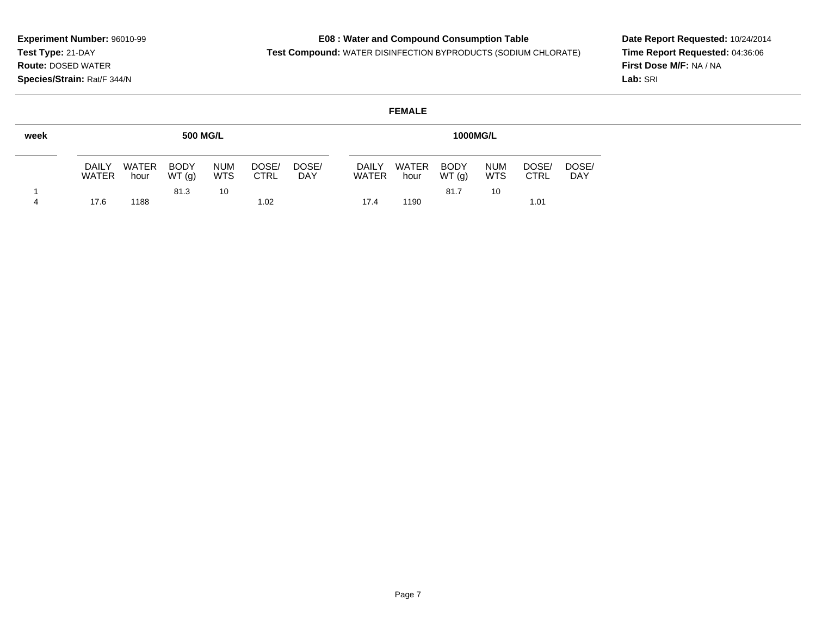6 1188 1.02

4

## **E08 : Water and Compound Consumption Table**

**Test Compound:** WATER DISINFECTION BYPRODUCTS (SODIUM CHLORATE)

<sup>1190</sup> 1.01

**Date Report Requested:** 10/24/2014 **Time Report Requested:** 04:36:06**First Dose M/F:** NA / NA**Lab:** SRI

### **FEMALEweek**1**500 MG/L**DAILY WATER BODY WATER hour WT (g)NUM WTS $3 \qquad \qquad 10$ DOSE/ CTRLDOSE/ DAY81.317.6**1000MG/L**DAILY WATERWATER hourBODY WT (g)NUM WTS $\begin{array}{ccc} 7 & 10 \end{array}$ DOSE/ CTRLDOSE/ DAY81.717.4

### Page 7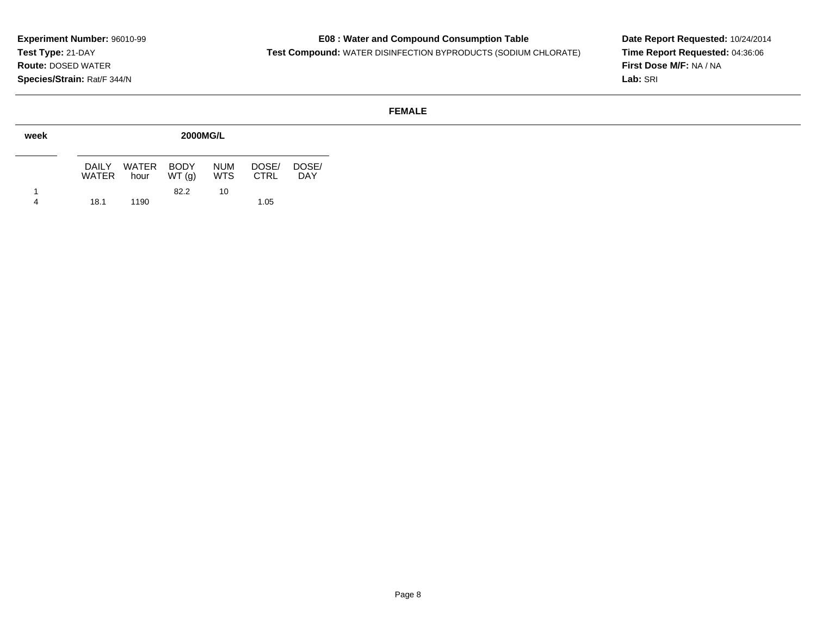## **E08 : Water and Compound Consumption Table**

**Test Compound:** WATER DISINFECTION BYPRODUCTS (SODIUM CHLORATE)

**Date Report Requested:** 10/24/2014 **Time Report Requested:** 04:36:06**First Dose M/F:** NA / NA**Lab:** SRI

### **FEMALE**

| week |                 | <b>2000MG/L</b>    |       |                          |                      |              |  |  |  |  |  |  |
|------|-----------------|--------------------|-------|--------------------------|----------------------|--------------|--|--|--|--|--|--|
|      | DAILY.<br>WATER | WATER BODY<br>hour | WT(q) | <b>NUM</b><br><b>WTS</b> | DOSE/<br><b>CTRL</b> | DOSE/<br>DAY |  |  |  |  |  |  |
|      |                 |                    | 82.2  | 10                       |                      |              |  |  |  |  |  |  |
| 4    | 18.1            | 1190               |       |                          | 1.05                 |              |  |  |  |  |  |  |